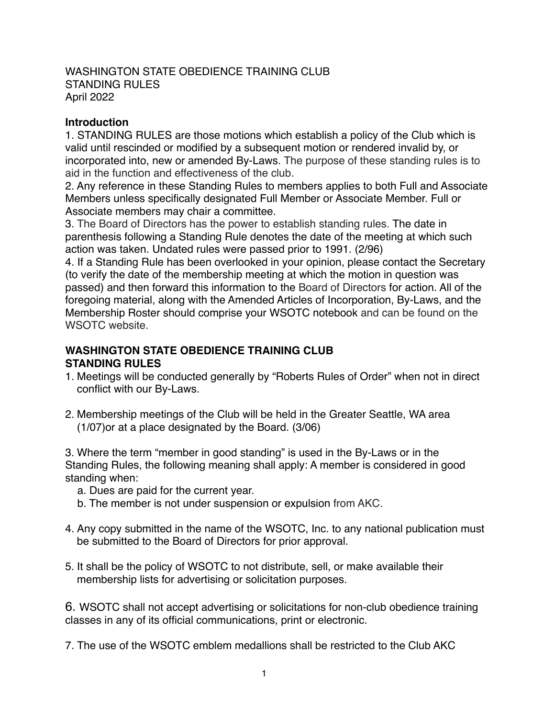### WASHINGTON STATE OBEDIENCE TRAINING CLUB STANDING RULES April 2022

#### **Introduction**

1. STANDING RULES are those motions which establish a policy of the Club which is valid until rescinded or modified by a subsequent motion or rendered invalid by, or incorporated into, new or amended By-Laws. The purpose of these standing rules is to aid in the function and effectiveness of the club.

2. Any reference in these Standing Rules to members applies to both Full and Associate Members unless specifically designated Full Member or Associate Member. Full or Associate members may chair a committee.

3. The Board of Directors has the power to establish standing rules. The date in parenthesis following a Standing Rule denotes the date of the meeting at which such action was taken. Undated rules were passed prior to 1991. (2/96)

4. If a Standing Rule has been overlooked in your opinion, please contact the Secretary (to verify the date of the membership meeting at which the motion in question was passed) and then forward this information to the Board of Directors for action. All of the foregoing material, along with the Amended Articles of Incorporation, By-Laws, and the Membership Roster should comprise your WSOTC notebook and can be found on the WSOTC website.

### **WASHINGTON STATE OBEDIENCE TRAINING CLUB STANDING RULES**

- 1. Meetings will be conducted generally by "Roberts Rules of Order" when not in direct conflict with our By-Laws.
- 2. Membership meetings of the Club will be held in the Greater Seattle, WA area (1/07)or at a place designated by the Board. (3/06)

3. Where the term "member in good standing" is used in the By-Laws or in the Standing Rules, the following meaning shall apply: A member is considered in good standing when:

- a. Dues are paid for the current year.
- b. The member is not under suspension or expulsion from AKC.
- 4. Any copy submitted in the name of the WSOTC, Inc. to any national publication must be submitted to the Board of Directors for prior approval.
- 5. It shall be the policy of WSOTC to not distribute, sell, or make available their membership lists for advertising or solicitation purposes.

6. WSOTC shall not accept advertising or solicitations for non-club obedience training classes in any of its official communications, print or electronic.

7. The use of the WSOTC emblem medallions shall be restricted to the Club AKC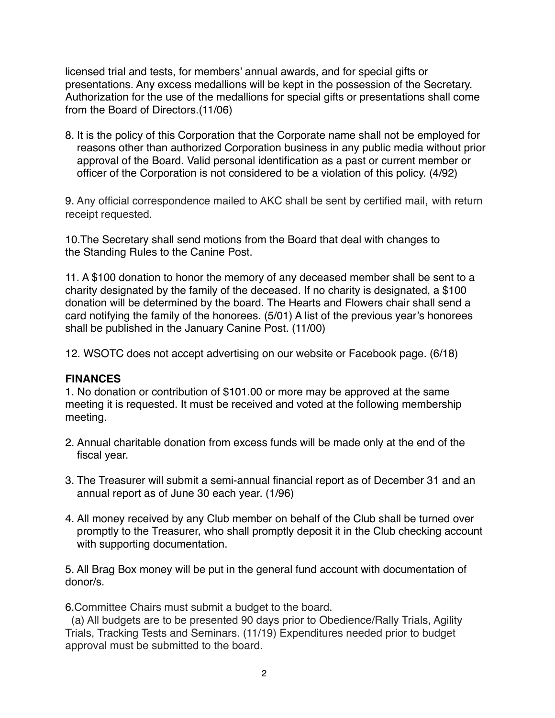licensed trial and tests, for members' annual awards, and for special gifts or presentations. Any excess medallions will be kept in the possession of the Secretary. Authorization for the use of the medallions for special gifts or presentations shall come from the Board of Directors.(11/06)

8. It is the policy of this Corporation that the Corporate name shall not be employed for reasons other than authorized Corporation business in any public media without prior approval of the Board. Valid personal identification as a past or current member or officer of the Corporation is not considered to be a violation of this policy. (4/92)

9. Any official correspondence mailed to AKC shall be sent by certified mail, with return receipt requested.

10.The Secretary shall send motions from the Board that deal with changes to the Standing Rules to the Canine Post.

11. A \$100 donation to honor the memory of any deceased member shall be sent to a charity designated by the family of the deceased. If no charity is designated, a \$100 donation will be determined by the board. The Hearts and Flowers chair shall send a card notifying the family of the honorees. (5/01) A list of the previous year's honorees shall be published in the January Canine Post. (11/00)

12. WSOTC does not accept advertising on our website or Facebook page. (6/18)

### **FINANCES**

1. No donation or contribution of \$101.00 or more may be approved at the same meeting it is requested. It must be received and voted at the following membership meeting.

- 2. Annual charitable donation from excess funds will be made only at the end of the fiscal year.
- 3. The Treasurer will submit a semi-annual financial report as of December 31 and an annual report as of June 30 each year. (1/96)
- 4. All money received by any Club member on behalf of the Club shall be turned over promptly to the Treasurer, who shall promptly deposit it in the Club checking account with supporting documentation.

5. All Brag Box money will be put in the general fund account with documentation of donor/s.

6.Committee Chairs must submit a budget to the board.

 (a) All budgets are to be presented 90 days prior to Obedience/Rally Trials, Agility Trials, Tracking Tests and Seminars. (11/19) Expenditures needed prior to budget approval must be submitted to the board.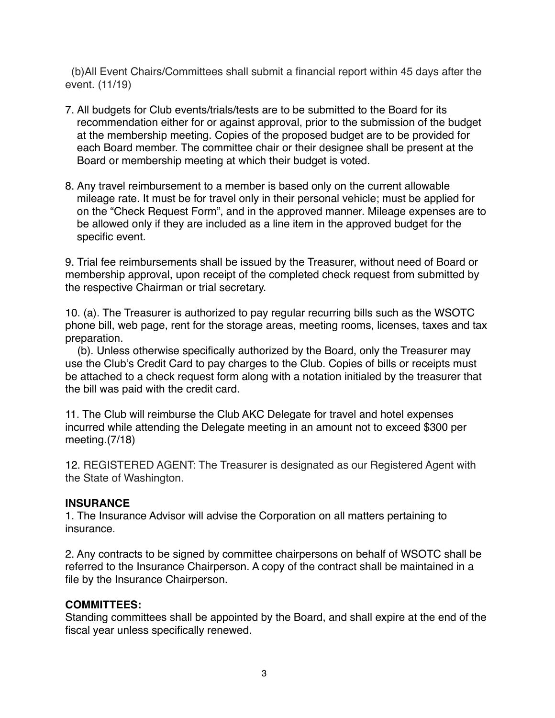(b)All Event Chairs/Committees shall submit a financial report within 45 days after the event. (11/19)

- 7. All budgets for Club events/trials/tests are to be submitted to the Board for its recommendation either for or against approval, prior to the submission of the budget at the membership meeting. Copies of the proposed budget are to be provided for each Board member. The committee chair or their designee shall be present at the Board or membership meeting at which their budget is voted.
- 8. Any travel reimbursement to a member is based only on the current allowable mileage rate. It must be for travel only in their personal vehicle; must be applied for on the "Check Request Form", and in the approved manner. Mileage expenses are to be allowed only if they are included as a line item in the approved budget for the specific event.

9. Trial fee reimbursements shall be issued by the Treasurer, without need of Board or membership approval, upon receipt of the completed check request from submitted by the respective Chairman or trial secretary.

10. (a). The Treasurer is authorized to pay regular recurring bills such as the WSOTC phone bill, web page, rent for the storage areas, meeting rooms, licenses, taxes and tax preparation.

 (b). Unless otherwise specifically authorized by the Board, only the Treasurer may use the Club's Credit Card to pay charges to the Club. Copies of bills or receipts must be attached to a check request form along with a notation initialed by the treasurer that the bill was paid with the credit card.

11. The Club will reimburse the Club AKC Delegate for travel and hotel expenses incurred while attending the Delegate meeting in an amount not to exceed \$300 per meeting.(7/18)

12. REGISTERED AGENT: The Treasurer is designated as our Registered Agent with the State of Washington.

## **INSURANCE**

1. The Insurance Advisor will advise the Corporation on all matters pertaining to insurance.

2. Any contracts to be signed by committee chairpersons on behalf of WSOTC shall be referred to the Insurance Chairperson. A copy of the contract shall be maintained in a file by the Insurance Chairperson.

## **COMMITTEES:**

Standing committees shall be appointed by the Board, and shall expire at the end of the fiscal year unless specifically renewed.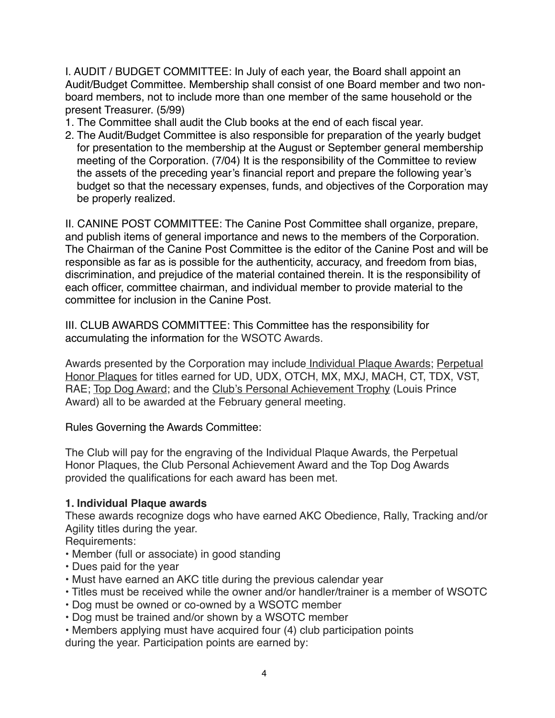I. AUDIT / BUDGET COMMITTEE: In July of each year, the Board shall appoint an Audit/Budget Committee. Membership shall consist of one Board member and two nonboard members, not to include more than one member of the same household or the present Treasurer. (5/99)

- 1. The Committee shall audit the Club books at the end of each fiscal year.
- 2. The Audit/Budget Committee is also responsible for preparation of the yearly budget for presentation to the membership at the August or September general membership meeting of the Corporation. (7/04) It is the responsibility of the Committee to review the assets of the preceding year's financial report and prepare the following year's budget so that the necessary expenses, funds, and objectives of the Corporation may be properly realized.

II. CANINE POST COMMITTEE: The Canine Post Committee shall organize, prepare, and publish items of general importance and news to the members of the Corporation. The Chairman of the Canine Post Committee is the editor of the Canine Post and will be responsible as far as is possible for the authenticity, accuracy, and freedom from bias, discrimination, and prejudice of the material contained therein. It is the responsibility of each officer, committee chairman, and individual member to provide material to the committee for inclusion in the Canine Post.

III. CLUB AWARDS COMMITTEE: This Committee has the responsibility for accumulating the information for the WSOTC Awards.

Awards presented by the Corporation may include Individual Plaque Awards; Perpetual Honor Plaques for titles earned for UD, UDX, OTCH, MX, MXJ, MACH, CT, TDX, VST, RAE; Top Dog Award; and the Club's Personal Achievement Trophy (Louis Prince Award) all to be awarded at the February general meeting.

## Rules Governing the Awards Committee:

The Club will pay for the engraving of the Individual Plaque Awards, the Perpetual Honor Plaques, the Club Personal Achievement Award and the Top Dog Awards provided the qualifications for each award has been met.

## **1. Individual Plaque awards**

These awards recognize dogs who have earned AKC Obedience, Rally, Tracking and/or Agility titles during the year.

Requirements:

- Member (full or associate) in good standing
- Dues paid for the year
- Must have earned an AKC title during the previous calendar year
- Titles must be received while the owner and/or handler/trainer is a member of WSOTC
- Dog must be owned or co-owned by a WSOTC member
- Dog must be trained and/or shown by a WSOTC member
- Members applying must have acquired four (4) club participation points during the year. Participation points are earned by: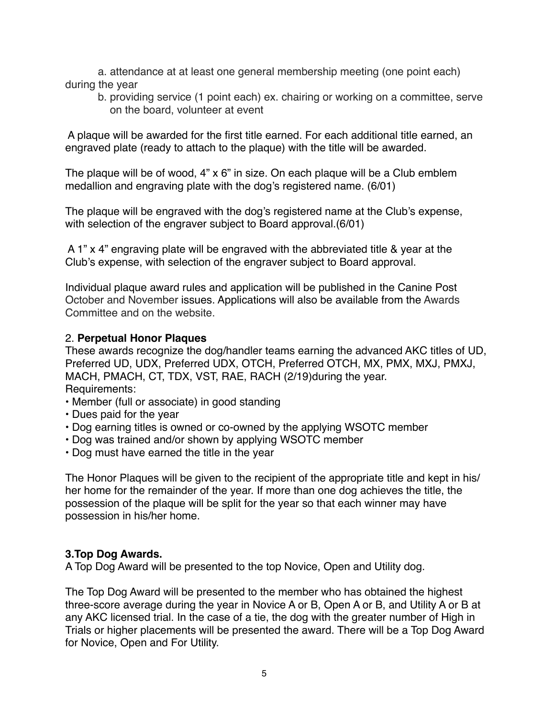a. attendance at at least one general membership meeting (one point each) during the year

b. providing service (1 point each) ex. chairing or working on a committee, serve on the board, volunteer at event

 A plaque will be awarded for the first title earned. For each additional title earned, an engraved plate (ready to attach to the plaque) with the title will be awarded.

The plaque will be of wood, 4" x 6" in size. On each plaque will be a Club emblem medallion and engraving plate with the dog's registered name. (6/01)

The plaque will be engraved with the dog's registered name at the Club's expense, with selection of the engraver subject to Board approval.(6/01)

 A 1" x 4" engraving plate will be engraved with the abbreviated title & year at the Club's expense, with selection of the engraver subject to Board approval.

Individual plaque award rules and application will be published in the Canine Post October and November issues. Applications will also be available from the Awards Committee and on the website.

## 2. **Perpetual Honor Plaques**

These awards recognize the dog/handler teams earning the advanced AKC titles of UD, Preferred UD, UDX, Preferred UDX, OTCH, Preferred OTCH, MX, PMX, MXJ, PMXJ, MACH, PMACH, CT, TDX, VST, RAE, RACH (2/19)during the year. Requirements:

- Member (full or associate) in good standing
- Dues paid for the year
- Dog earning titles is owned or co-owned by the applying WSOTC member
- Dog was trained and/or shown by applying WSOTC member
- Dog must have earned the title in the year

The Honor Plaques will be given to the recipient of the appropriate title and kept in his/ her home for the remainder of the year. If more than one dog achieves the title, the possession of the plaque will be split for the year so that each winner may have possession in his/her home.

## **3.Top Dog Awards.**

A Top Dog Award will be presented to the top Novice, Open and Utility dog.

The Top Dog Award will be presented to the member who has obtained the highest three-score average during the year in Novice A or B, Open A or B, and Utility A or B at any AKC licensed trial. In the case of a tie, the dog with the greater number of High in Trials or higher placements will be presented the award. There will be a Top Dog Award for Novice, Open and For Utility.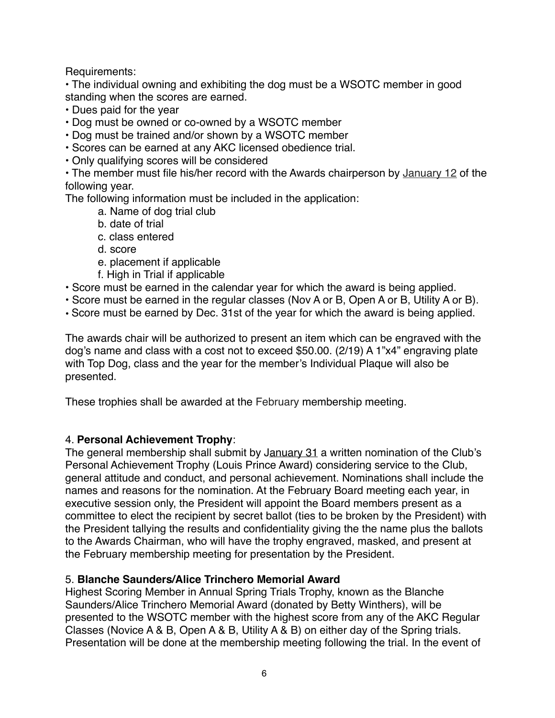Requirements:

• The individual owning and exhibiting the dog must be a WSOTC member in good standing when the scores are earned.

- Dues paid for the year
- Dog must be owned or co-owned by a WSOTC member
- Dog must be trained and/or shown by a WSOTC member
- Scores can be earned at any AKC licensed obedience trial.
- Only qualifying scores will be considered

• The member must file his/her record with the Awards chairperson by January 12 of the following year.

The following information must be included in the application:

- a. Name of dog trial club
- b. date of trial
- c. class entered
- d. score
- e. placement if applicable
- f. High in Trial if applicable
- Score must be earned in the calendar year for which the award is being applied.
- Score must be earned in the regular classes (Nov A or B, Open A or B, Utility A or B).
- Score must be earned by Dec. 31st of the year for which the award is being applied.

The awards chair will be authorized to present an item which can be engraved with the dog's name and class with a cost not to exceed \$50.00. (2/19) A 1"x4" engraving plate with Top Dog, class and the year for the member's Individual Plaque will also be presented.

These trophies shall be awarded at the February membership meeting.

## 4. **Personal Achievement Trophy**:

The general membership shall submit by January 31 a written nomination of the Club's Personal Achievement Trophy (Louis Prince Award) considering service to the Club, general attitude and conduct, and personal achievement. Nominations shall include the names and reasons for the nomination. At the February Board meeting each year, in executive session only, the President will appoint the Board members present as a committee to elect the recipient by secret ballot (ties to be broken by the President) with the President tallying the results and confidentiality giving the the name plus the ballots to the Awards Chairman, who will have the trophy engraved, masked, and present at the February membership meeting for presentation by the President.

## 5. **Blanche Saunders/Alice Trinchero Memorial Award**

Highest Scoring Member in Annual Spring Trials Trophy, known as the Blanche Saunders/Alice Trinchero Memorial Award (donated by Betty Winthers), will be presented to the WSOTC member with the highest score from any of the AKC Regular Classes (Novice A & B, Open A & B, Utility A & B) on either day of the Spring trials. Presentation will be done at the membership meeting following the trial. In the event of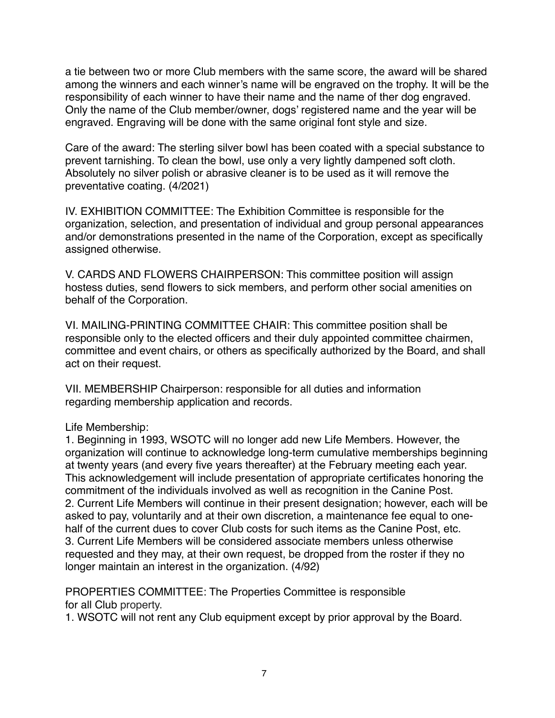a tie between two or more Club members with the same score, the award will be shared among the winners and each winner's name will be engraved on the trophy. It will be the responsibility of each winner to have their name and the name of ther dog engraved. Only the name of the Club member/owner, dogs' registered name and the year will be engraved. Engraving will be done with the same original font style and size.

Care of the award: The sterling silver bowl has been coated with a special substance to prevent tarnishing. To clean the bowl, use only a very lightly dampened soft cloth. Absolutely no silver polish or abrasive cleaner is to be used as it will remove the preventative coating. (4/2021)

IV. EXHIBITION COMMITTEE: The Exhibition Committee is responsible for the organization, selection, and presentation of individual and group personal appearances and/or demonstrations presented in the name of the Corporation, except as specifically assigned otherwise.

V. CARDS AND FLOWERS CHAIRPERSON: This committee position will assign hostess duties, send flowers to sick members, and perform other social amenities on behalf of the Corporation.

VI. MAILING-PRINTING COMMITTEE CHAIR: This committee position shall be responsible only to the elected officers and their duly appointed committee chairmen, committee and event chairs, or others as specifically authorized by the Board, and shall act on their request.

VII. MEMBERSHIP Chairperson: responsible for all duties and information regarding membership application and records.

### Life Membership:

1. Beginning in 1993, WSOTC will no longer add new Life Members. However, the organization will continue to acknowledge long-term cumulative memberships beginning at twenty years (and every five years thereafter) at the February meeting each year. This acknowledgement will include presentation of appropriate certificates honoring the commitment of the individuals involved as well as recognition in the Canine Post. 2. Current Life Members will continue in their present designation; however, each will be asked to pay, voluntarily and at their own discretion, a maintenance fee equal to onehalf of the current dues to cover Club costs for such items as the Canine Post, etc. 3. Current Life Members will be considered associate members unless otherwise requested and they may, at their own request, be dropped from the roster if they no longer maintain an interest in the organization. (4/92)

PROPERTIES COMMITTEE: The Properties Committee is responsible for all Club property.

1. WSOTC will not rent any Club equipment except by prior approval by the Board.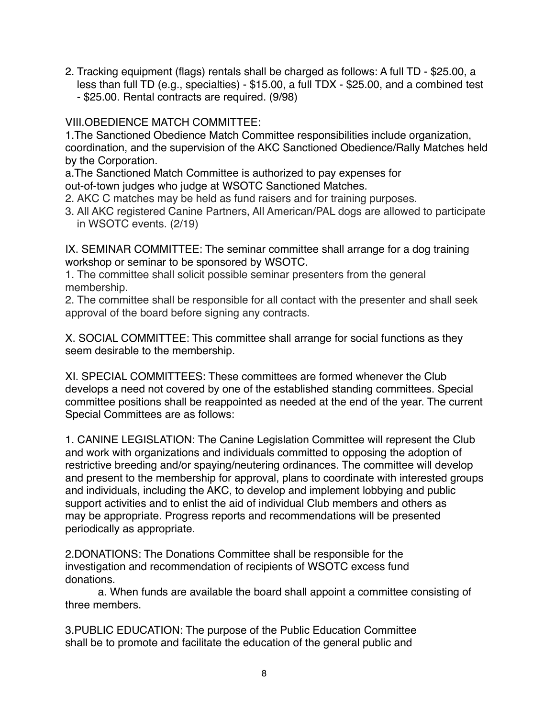- 2. Tracking equipment (flags) rentals shall be charged as follows: A full TD \$25.00, a less than full TD (e.g., specialties) - \$15.00, a full TDX - \$25.00, and a combined test
	- \$25.00. Rental contracts are required. (9/98)

VIII.OBEDIENCE MATCH COMMITTEE:

1.The Sanctioned Obedience Match Committee responsibilities include organization, coordination, and the supervision of the AKC Sanctioned Obedience/Rally Matches held by the Corporation.

a.The Sanctioned Match Committee is authorized to pay expenses for

out-of-town judges who judge at WSOTC Sanctioned Matches.

- 2. AKC C matches may be held as fund raisers and for training purposes.
- 3. All AKC registered Canine Partners, All American/PAL dogs are allowed to participate in WSOTC events. (2/19)

IX. SEMINAR COMMITTEE: The seminar committee shall arrange for a dog training workshop or seminar to be sponsored by WSOTC.

1. The committee shall solicit possible seminar presenters from the general membership.

2. The committee shall be responsible for all contact with the presenter and shall seek approval of the board before signing any contracts.

X. SOCIAL COMMITTEE: This committee shall arrange for social functions as they seem desirable to the membership.

XI. SPECIAL COMMITTEES: These committees are formed whenever the Club develops a need not covered by one of the established standing committees. Special committee positions shall be reappointed as needed at the end of the year. The current Special Committees are as follows:

1. CANINE LEGISLATION: The Canine Legislation Committee will represent the Club and work with organizations and individuals committed to opposing the adoption of restrictive breeding and/or spaying/neutering ordinances. The committee will develop and present to the membership for approval, plans to coordinate with interested groups and individuals, including the AKC, to develop and implement lobbying and public support activities and to enlist the aid of individual Club members and others as may be appropriate. Progress reports and recommendations will be presented periodically as appropriate.

2.DONATIONS: The Donations Committee shall be responsible for the investigation and recommendation of recipients of WSOTC excess fund donations.

a. When funds are available the board shall appoint a committee consisting of three members.

3.PUBLIC EDUCATION: The purpose of the Public Education Committee shall be to promote and facilitate the education of the general public and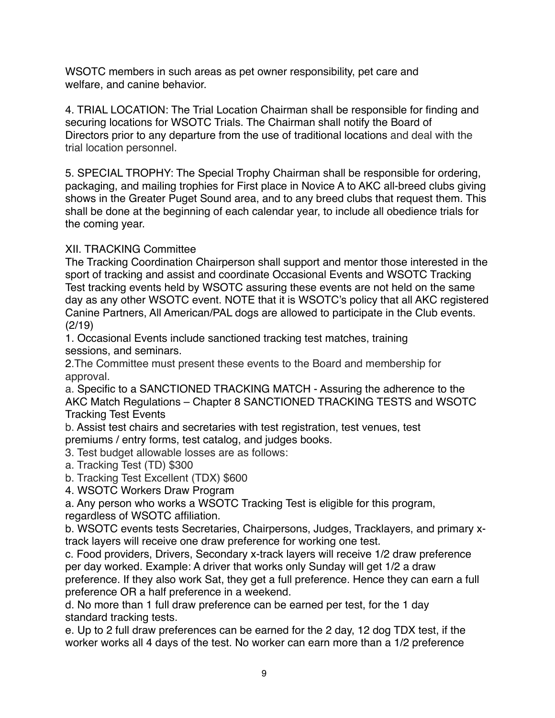WSOTC members in such areas as pet owner responsibility, pet care and welfare, and canine behavior.

4. TRIAL LOCATION: The Trial Location Chairman shall be responsible for finding and securing locations for WSOTC Trials. The Chairman shall notify the Board of Directors prior to any departure from the use of traditional locations and deal with the trial location personnel.

5. SPECIAL TROPHY: The Special Trophy Chairman shall be responsible for ordering, packaging, and mailing trophies for First place in Novice A to AKC all-breed clubs giving shows in the Greater Puget Sound area, and to any breed clubs that request them. This shall be done at the beginning of each calendar year, to include all obedience trials for the coming year.

# XII. TRACKING Committee

The Tracking Coordination Chairperson shall support and mentor those interested in the sport of tracking and assist and coordinate Occasional Events and WSOTC Tracking Test tracking events held by WSOTC assuring these events are not held on the same day as any other WSOTC event. NOTE that it is WSOTC's policy that all AKC registered Canine Partners, All American/PAL dogs are allowed to participate in the Club events. (2/19)

1. Occasional Events include sanctioned tracking test matches, training sessions, and seminars.

2.The Committee must present these events to the Board and membership for approval.

a. Specific to a SANCTIONED TRACKING MATCH - Assuring the adherence to the AKC Match Regulations – Chapter 8 SANCTIONED TRACKING TESTS and WSOTC Tracking Test Events

b. Assist test chairs and secretaries with test registration, test venues, test premiums / entry forms, test catalog, and judges books.

3. Test budget allowable losses are as follows:

- a. Tracking Test (TD) \$300
- b. Tracking Test Excellent (TDX) \$600
- 4. WSOTC Workers Draw Program

a. Any person who works a WSOTC Tracking Test is eligible for this program, regardless of WSOTC affiliation.

b. WSOTC events tests Secretaries, Chairpersons, Judges, Tracklayers, and primary xtrack layers will receive one draw preference for working one test.

c. Food providers, Drivers, Secondary x-track layers will receive 1/2 draw preference per day worked. Example: A driver that works only Sunday will get 1/2 a draw preference. If they also work Sat, they get a full preference. Hence they can earn a full preference OR a half preference in a weekend.

d. No more than 1 full draw preference can be earned per test, for the 1 day standard tracking tests.

e. Up to 2 full draw preferences can be earned for the 2 day, 12 dog TDX test, if the worker works all 4 days of the test. No worker can earn more than a 1/2 preference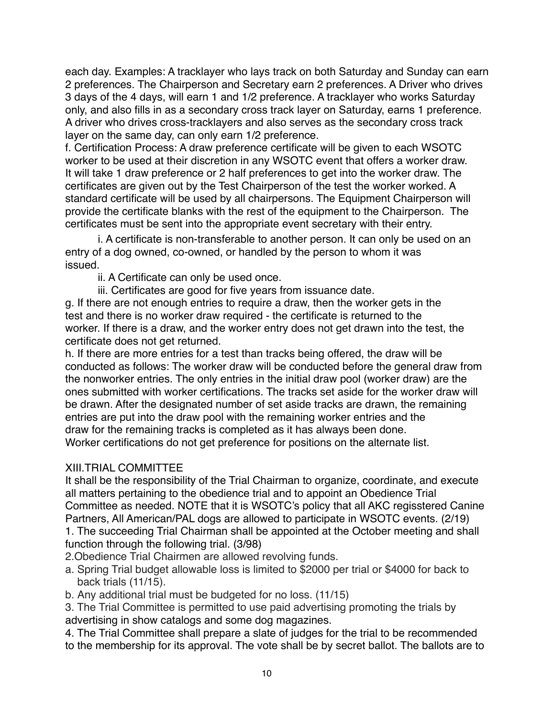each day. Examples: A tracklayer who lays track on both Saturday and Sunday can earn 2 preferences. The Chairperson and Secretary earn 2 preferences. A Driver who drives 3 days of the 4 days, will earn 1 and 1/2 preference. A tracklayer who works Saturday only, and also fills in as a secondary cross track layer on Saturday, earns 1 preference. A driver who drives cross-tracklayers and also serves as the secondary cross track layer on the same day, can only earn 1/2 preference.

f. Certification Process: A draw preference certificate will be given to each WSOTC worker to be used at their discretion in any WSOTC event that offers a worker draw. It will take 1 draw preference or 2 half preferences to get into the worker draw. The certificates are given out by the Test Chairperson of the test the worker worked. A standard certificate will be used by all chairpersons. The Equipment Chairperson will provide the certificate blanks with the rest of the equipment to the Chairperson. The certificates must be sent into the appropriate event secretary with their entry.

i. A certificate is non-transferable to another person. It can only be used on an entry of a dog owned, co-owned, or handled by the person to whom it was issued.

ii. A Certificate can only be used once.

iii. Certificates are good for five years from issuance date.

g. If there are not enough entries to require a draw, then the worker gets in the test and there is no worker draw required - the certificate is returned to the worker. If there is a draw, and the worker entry does not get drawn into the test, the certificate does not get returned.

h. If there are more entries for a test than tracks being offered, the draw will be conducted as follows: The worker draw will be conducted before the general draw from the nonworker entries. The only entries in the initial draw pool (worker draw) are the ones submitted with worker certifications. The tracks set aside for the worker draw will be drawn. After the designated number of set aside tracks are drawn, the remaining entries are put into the draw pool with the remaining worker entries and the draw for the remaining tracks is completed as it has always been done. Worker certifications do not get preference for positions on the alternate list.

## XIII.TRIAL COMMITTEE

It shall be the responsibility of the Trial Chairman to organize, coordinate, and execute all matters pertaining to the obedience trial and to appoint an Obedience Trial Committee as needed. NOTE that it is WSOTC's policy that all AKC regisstered Canine Partners, All American/PAL dogs are allowed to participate in WSOTC events. (2/19)

1. The succeeding Trial Chairman shall be appointed at the October meeting and shall function through the following trial. (3/98)

2.Obedience Trial Chairmen are allowed revolving funds.

- a. Spring Trial budget allowable loss is limited to \$2000 per trial or \$4000 for back to back trials (11/15).
- b. Any additional trial must be budgeted for no loss. (11/15)

3. The Trial Committee is permitted to use paid advertising promoting the trials by advertising in show catalogs and some dog magazines.

4. The Trial Committee shall prepare a slate of judges for the trial to be recommended to the membership for its approval. The vote shall be by secret ballot. The ballots are to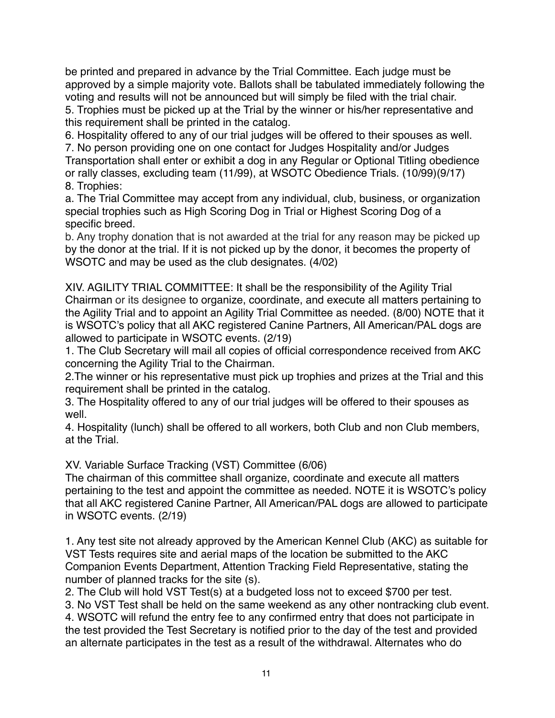be printed and prepared in advance by the Trial Committee. Each judge must be approved by a simple majority vote. Ballots shall be tabulated immediately following the voting and results will not be announced but will simply be filed with the trial chair.

5. Trophies must be picked up at the Trial by the winner or his/her representative and this requirement shall be printed in the catalog.

6. Hospitality offered to any of our trial judges will be offered to their spouses as well. 7. No person providing one on one contact for Judges Hospitality and/or Judges Transportation shall enter or exhibit a dog in any Regular or Optional Titling obedience or rally classes, excluding team (11/99), at WSOTC Obedience Trials. (10/99)(9/17) 8. Trophies:

a. The Trial Committee may accept from any individual, club, business, or organization special trophies such as High Scoring Dog in Trial or Highest Scoring Dog of a specific breed.

b. Any trophy donation that is not awarded at the trial for any reason may be picked up by the donor at the trial. If it is not picked up by the donor, it becomes the property of WSOTC and may be used as the club designates. (4/02)

XIV. AGILITY TRIAL COMMITTEE: It shall be the responsibility of the Agility Trial Chairman or its designee to organize, coordinate, and execute all matters pertaining to the Agility Trial and to appoint an Agility Trial Committee as needed. (8/00) NOTE that it is WSOTC's policy that all AKC registered Canine Partners, All American/PAL dogs are allowed to participate in WSOTC events. (2/19)

1. The Club Secretary will mail all copies of official correspondence received from AKC concerning the Agility Trial to the Chairman.

2.The winner or his representative must pick up trophies and prizes at the Trial and this requirement shall be printed in the catalog.

3. The Hospitality offered to any of our trial judges will be offered to their spouses as well.

4. Hospitality (lunch) shall be offered to all workers, both Club and non Club members, at the Trial.

XV. Variable Surface Tracking (VST) Committee (6/06)

The chairman of this committee shall organize, coordinate and execute all matters pertaining to the test and appoint the committee as needed. NOTE it is WSOTC's policy that all AKC registered Canine Partner, All American/PAL dogs are allowed to participate in WSOTC events. (2/19)

1. Any test site not already approved by the American Kennel Club (AKC) as suitable for VST Tests requires site and aerial maps of the location be submitted to the AKC Companion Events Department, Attention Tracking Field Representative, stating the number of planned tracks for the site (s).

2. The Club will hold VST Test(s) at a budgeted loss not to exceed \$700 per test.

3. No VST Test shall be held on the same weekend as any other nontracking club event.

4. WSOTC will refund the entry fee to any confirmed entry that does not participate in the test provided the Test Secretary is notified prior to the day of the test and provided an alternate participates in the test as a result of the withdrawal. Alternates who do